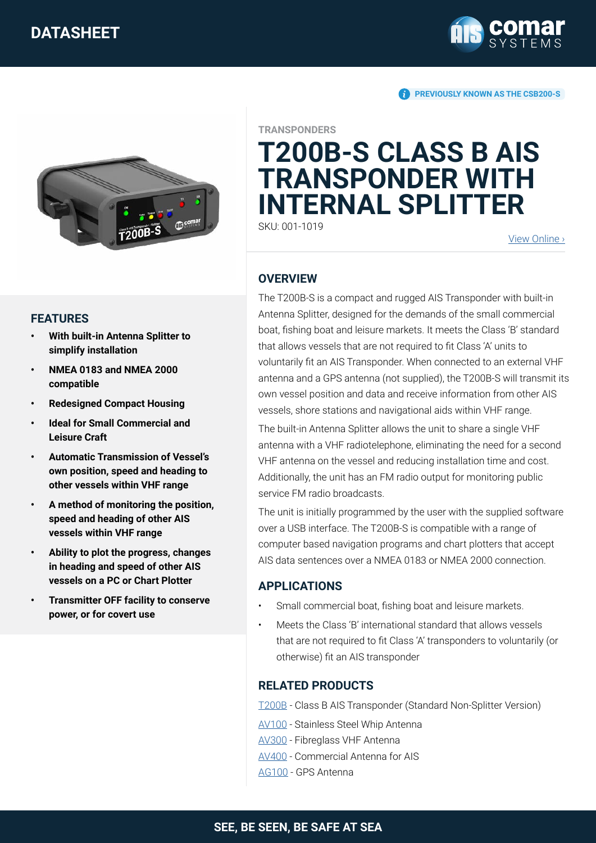

**PREVIOUSLY KNOWN AS THE CSB200-S** 



#### **FEATURES**

- **• With built-in Antenna Splitter to simplify installation**
- **• NMEA 0183 and NMEA 2000 compatible**
- **• Redesigned Compact Housing**
- **• Ideal for Small Commercial and Leisure Craft**
- **• Automatic Transmission of Vessel's own position, speed and heading to other vessels within VHF range**
- **• A method of monitoring the position, speed and heading of other AIS vessels within VHF range**
- **• Ability to plot the progress, changes in heading and speed of other AIS vessels on a PC or Chart Plotter**
- **• Transmitter OFF facility to conserve power, or for covert use**

**TRANSPONDERS**

# **T200B-S CLASS B AIS TRANSPONDER WITH INTERNAL SPLITTER**

SKU: 001-1019

[View Online](https://comarsystems.com/product/t200b-s-ais-transponder/) ›

#### **OVERVIEW**

The T200B-S is a compact and rugged AIS Transponder with built-in Antenna Splitter, designed for the demands of the small commercial boat, fishing boat and leisure markets. It meets the Class 'B' standard that allows vessels that are not required to fit Class 'A' units to voluntarily fit an AIS Transponder. When connected to an external VHF antenna and a GPS antenna (not supplied), the T200B-S will transmit its own vessel position and data and receive information from other AIS vessels, shore stations and navigational aids within VHF range.

The built-in Antenna Splitter allows the unit to share a single VHF antenna with a VHF radiotelephone, eliminating the need for a second VHF antenna on the vessel and reducing installation time and cost. Additionally, the unit has an FM radio output for monitoring public service FM radio broadcasts.

The unit is initially programmed by the user with the supplied software over a USB interface. The T200B-S is compatible with a range of computer based navigation programs and chart plotters that accept AIS data sentences over a NMEA 0183 or NMEA 2000 connection.

#### **APPLICATIONS**

- Small commercial boat, fishing boat and leisure markets.
- Meets the Class 'B' international standard that allows vessels that are not required to fit Class 'A' transponders to voluntarily (or otherwise) fit an AIS transponder

## **RELATED PRODUCTS**

[T200B](https://comarsystems.com/product/t200b-ais-transponder-class-b/) - Class B AIS Transponder (Standard Non-Splitter Version)

[AV100](https://comarsystems.com/product/av100-whip-antenna/) - Stainless Steel Whip Antenna

- [AV300](https://comarsystems.com/product/av300-fibreglass-vhf-antenna/)  Fibreglass VHF Antenna
- [AV400](https://comarsystems.com/product/av400-commercial-antenna/)  Commercial Antenna for AIS
- [AG100](https://comarsystems.com/product/gps-antenna/) GPS Antenna

## **SEE, BE SEEN, BE SAFE AT SEA**